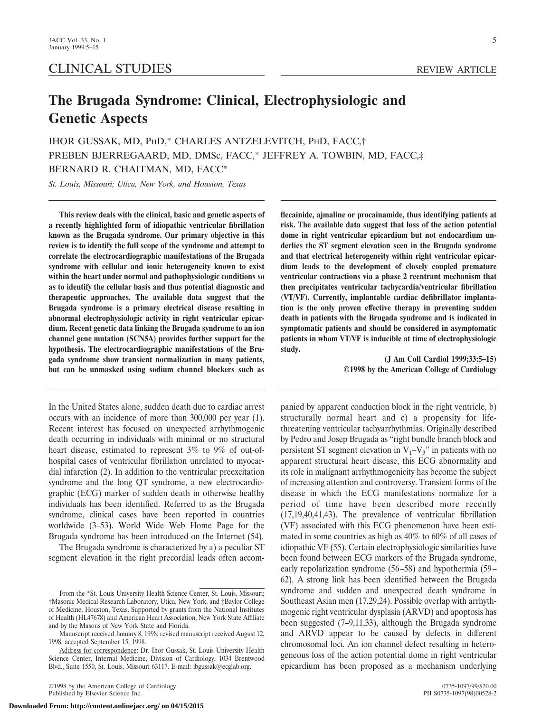# CLINICAL STUDIES REVIEW ARTICLE

# **The Brugada Syndrome: Clinical, Electrophysiologic and Genetic Aspects**

IHOR GUSSAK, MD, PHD,\* CHARLES ANTZELEVITCH, PHD, FACC,† PREBEN BJERREGAARD, MD, DMSc, FACC,\* JEFFREY A. TOWBIN, MD, FACC,‡ BERNARD R. CHAITMAN, MD, FACC\*

*St. Louis, Missouri; Utica, New York, and Houston, Texas*

**This review deals with the clinical, basic and genetic aspects of a recently highlighted form of idiopathic ventricular fibrillation known as the Brugada syndrome. Our primary objective in this review is to identify the full scope of the syndrome and attempt to correlate the electrocardiographic manifestations of the Brugada syndrome with cellular and ionic heterogeneity known to exist within the heart under normal and pathophysiologic conditions so as to identify the cellular basis and thus potential diagnostic and therapeutic approaches. The available data suggest that the Brugada syndrome is a primary electrical disease resulting in abnormal electrophysiologic activity in right ventricular epicardium. Recent genetic data linking the Brugada syndrome to an ion channel gene mutation (SCN5A) provides further support for the hypothesis. The electrocardiographic manifestations of the Brugada syndrome show transient normalization in many patients, but can be unmasked using sodium channel blockers such as**

In the United States alone, sudden death due to cardiac arrest occurs with an incidence of more than 300,000 per year (1). Recent interest has focused on unexpected arrhythmogenic death occurring in individuals with minimal or no structural heart disease, estimated to represent 3% to 9% of out-ofhospital cases of ventricular fibrillation unrelated to myocardial infarction (2). In addition to the ventricular preexcitation syndrome and the long QT syndrome, a new electrocardiographic (ECG) marker of sudden death in otherwise healthy individuals has been identified. Referred to as the Brugada syndrome, clinical cases have been reported in countries worldwide (3–53). World Wide Web Home Page for the Brugada syndrome has been introduced on the Internet (54).

The Brugada syndrome is characterized by a) a peculiar ST segment elevation in the right precordial leads often accom-

©1998 by the American College of Cardiology 0735-1097/99/\$20.00 Published by Elsevier Science Inc.

5

**flecainide, ajmaline or procainamide, thus identifying patients at risk. The available data suggest that loss of the action potential dome in right ventricular epicardium but not endocardium underlies the ST segment elevation seen in the Brugada syndrome and that electrical heterogeneity within right ventricular epicardium leads to the development of closely coupled premature ventricular contractions via a phase 2 reentrant mechanism that then precipitates ventricular tachycardia/ventricular fibrillation (VT/VF). Currently, implantable cardiac defibrillator implantation is the only proven effective therapy in preventing sudden death in patients with the Brugada syndrome and is indicated in symptomatic patients and should be considered in asymptomatic patients in whom VT/VF is inducible at time of electrophysiologic study.**

> **(J Am Coll Cardiol 1999;33:5–15) ©1998 by the American College of Cardiology**

panied by apparent conduction block in the right ventricle, b) structurally normal heart and c) a propensity for lifethreatening ventricular tachyarrhythmias. Originally described by Pedro and Josep Brugada as "right bundle branch block and persistent ST segment elevation in  $V_1-V_3$ " in patients with no apparent structural heart disease, this ECG abnormality and its role in malignant arrhythmogenicity has become the subject of increasing attention and controversy. Transient forms of the disease in which the ECG manifestations normalize for a period of time have been described more recently (17,19,40,41,43). The prevalence of ventricular fibrillation (VF) associated with this ECG phenomenon have been estimated in some countries as high as 40% to 60% of all cases of idiopathic VF (55). Certain electrophysiologic similarities have been found between ECG markers of the Brugada syndrome, early repolarization syndrome (56–58) and hypothermia (59– 62). A strong link has been identified between the Brugada syndrome and sudden and unexpected death syndrome in Southeast Asian men (17,29,24). Possible overlap with arrhythmogenic right ventricular dysplasia (ARVD) and apoptosis has been suggested (7–9,11,33), although the Brugada syndrome and ARVD appear to be caused by defects in different chromosomal loci. An ion channel defect resulting in heterogeneous loss of the action potential dome in right ventricular epicardium has been proposed as a mechanism underlying

From the \*St. Louis University Health Science Center, St. Louis, Missouri; †Masonic Medical Research Laboratory, Utica, New York, and ‡Baylor College of Medicine, Houston, Texas. Supported by grants from the National Institutes of Health (HL47678) and American Heart Association, New York State Affiliate and by the Masons of New York State and Florida.

Manuscript received January 8, 1998; revised manuscript received August 12, 1998, accepted September 15, 1998.

Address for correspondence: Dr. Ihor Gussak, St. Louis University Health Science Center, Internal Medicine, Division of Cardiology, 1034 Brentwood Blvd., Suite 1550, St. Louis, Missouri 63117. E-mail: ibgussak@ecglab.org.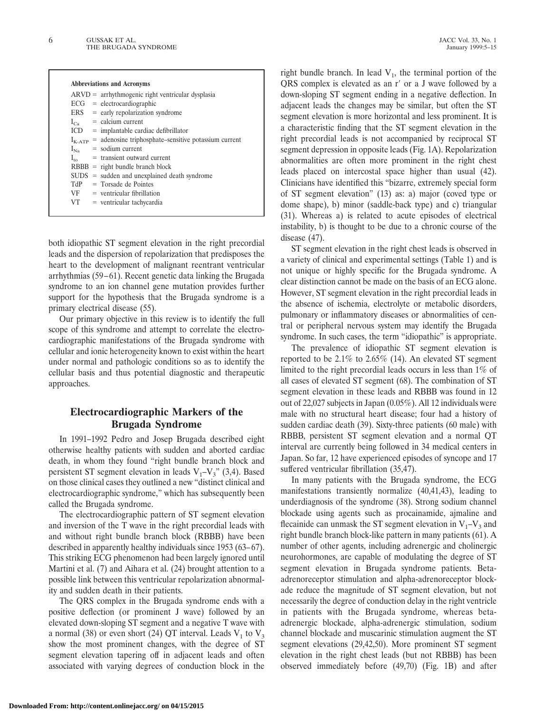|                 | $ARVD =$ arrhythmogenic right ventricular dysplasia              |
|-----------------|------------------------------------------------------------------|
|                 | $ECG = electrocardiographic$                                     |
|                 | $ERS = early repolarization syndrome$                            |
| $I_{Ca}$        | $=$ calcium current                                              |
|                 | $ICD$ = implantable cardiac defibrillator                        |
|                 | $I_{K-ATP}$ = adenosine triphosphate–sensitive potassium current |
| $I_{N_2}$       | $=$ sodium current                                               |
| $I_{\text{to}}$ | $=$ transient outward current                                    |
|                 | $RBBB = right bundle branch block$                               |
|                 | $SUBS = sudden$ and unexplained death syndrome                   |
|                 | $TdP = Torsade de Pointes$                                       |
|                 | $VF = ventricular fibrillation$                                  |
| VT —            | $=$ ventricular tachycardia                                      |

both idiopathic ST segment elevation in the right precordial leads and the dispersion of repolarization that predisposes the heart to the development of malignant reentrant ventricular arrhythmias (59–61). Recent genetic data linking the Brugada syndrome to an ion channel gene mutation provides further support for the hypothesis that the Brugada syndrome is a primary electrical disease (55).

Our primary objective in this review is to identify the full scope of this syndrome and attempt to correlate the electrocardiographic manifestations of the Brugada syndrome with cellular and ionic heterogeneity known to exist within the heart under normal and pathologic conditions so as to identify the cellular basis and thus potential diagnostic and therapeutic approaches.

# **Electrocardiographic Markers of the Brugada Syndrome**

In 1991–1992 Pedro and Josep Brugada described eight otherwise healthy patients with sudden and aborted cardiac death, in whom they found "right bundle branch block and persistent ST segment elevation in leads  $V_1-V_3$ " (3,4). Based on those clinical cases they outlined a new "distinct clinical and electrocardiographic syndrome," which has subsequently been called the Brugada syndrome.

The electrocardiographic pattern of ST segment elevation and inversion of the T wave in the right precordial leads with and without right bundle branch block (RBBB) have been described in apparently healthy individuals since 1953 (63–67). This striking ECG phenomenon had been largely ignored until Martini et al. (7) and Aihara et al. (24) brought attention to a possible link between this ventricular repolarization abnormality and sudden death in their patients.

The QRS complex in the Brugada syndrome ends with a positive deflection (or prominent J wave) followed by an elevated down-sloping ST segment and a negative T wave with a normal (38) or even short (24) QT interval. Leads  $V_1$  to  $V_3$ show the most prominent changes, with the degree of ST segment elevation tapering off in adjacent leads and often associated with varying degrees of conduction block in the

right bundle branch. In lead  $V_1$ , the terminal portion of the QRS complex is elevated as an r' or a J wave followed by a down-sloping ST segment ending in a negative deflection. In adjacent leads the changes may be similar, but often the ST segment elevation is more horizontal and less prominent. It is a characteristic finding that the ST segment elevation in the right precordial leads is not accompanied by reciprocal ST segment depression in opposite leads (Fig. 1A). Repolarization abnormalities are often more prominent in the right chest leads placed on intercostal space higher than usual (42). Clinicians have identified this "bizarre, extremely special form of ST segment elevation" (13) as: a) major (coved type or dome shape), b) minor (saddle-back type) and c) triangular (31). Whereas a) is related to acute episodes of electrical instability, b) is thought to be due to a chronic course of the disease (47).

ST segment elevation in the right chest leads is observed in a variety of clinical and experimental settings (Table 1) and is not unique or highly specific for the Brugada syndrome. A clear distinction cannot be made on the basis of an ECG alone. However, ST segment elevation in the right precordial leads in the absence of ischemia, electrolyte or metabolic disorders, pulmonary or inflammatory diseases or abnormalities of central or peripheral nervous system may identify the Brugada syndrome. In such cases, the term "idiopathic" is appropriate.

The prevalence of idiopathic ST segment elevation is reported to be 2.1% to 2.65% (14). An elevated ST segment limited to the right precordial leads occurs in less than 1% of all cases of elevated ST segment (68). The combination of ST segment elevation in these leads and RBBB was found in 12 out of 22,027 subjects in Japan (0.05%). All 12 individuals were male with no structural heart disease; four had a history of sudden cardiac death (39). Sixty-three patients (60 male) with RBBB, persistent ST segment elevation and a normal QT interval are currently being followed in 34 medical centers in Japan. So far, 12 have experienced episodes of syncope and 17 suffered ventricular fibrillation (35,47).

In many patients with the Brugada syndrome, the ECG manifestations transiently normalize (40,41,43), leading to underdiagnosis of the syndrome (38). Strong sodium channel blockade using agents such as procainamide, ajmaline and flecainide can unmask the ST segment elevation in  $V_1-V_3$  and right bundle branch block-like pattern in many patients (61). A number of other agents, including adrenergic and cholinergic neurohormones, are capable of modulating the degree of ST segment elevation in Brugada syndrome patients. Betaadrenoreceptor stimulation and alpha-adrenoreceptor blockade reduce the magnitude of ST segment elevation, but not necessarily the degree of conduction delay in the right ventricle in patients with the Brugada syndrome, whereas betaadrenergic blockade, alpha-adrenergic stimulation, sodium channel blockade and muscarinic stimulation augment the ST segment elevations (29,42,50). More prominent ST segment elevation in the right chest leads (but not RBBB) has been observed immediately before (49,70) (Fig. 1B) and after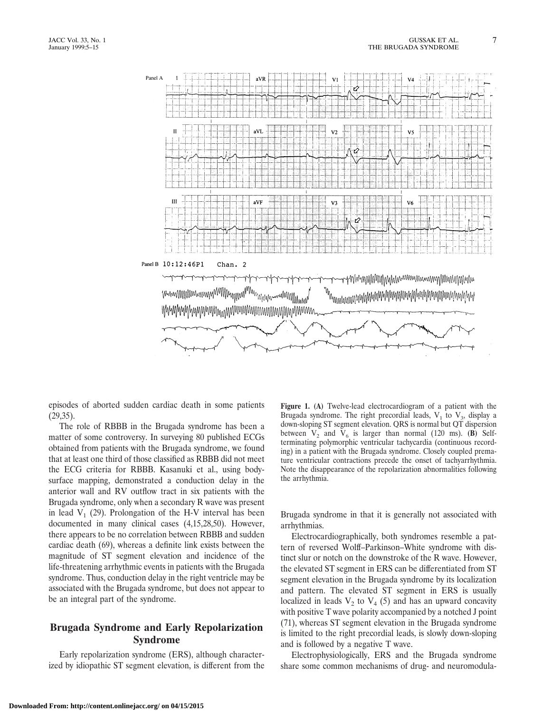

episodes of aborted sudden cardiac death in some patients (29,35).

The role of RBBB in the Brugada syndrome has been a matter of some controversy. In surveying 80 published ECGs obtained from patients with the Brugada syndrome, we found that at least one third of those classified as RBBB did not meet the ECG criteria for RBBB. Kasanuki et al., using bodysurface mapping, demonstrated a conduction delay in the anterior wall and RV outflow tract in six patients with the Brugada syndrome, only when a secondary R wave was present in lead  $V_1$  (29). Prolongation of the H-V interval has been documented in many clinical cases (4,15,28,50). However, there appears to be no correlation between RBBB and sudden cardiac death (69), whereas a definite link exists between the magnitude of ST segment elevation and incidence of the life-threatening arrhythmic events in patients with the Brugada syndrome. Thus, conduction delay in the right ventricle may be associated with the Brugada syndrome, but does not appear to be an integral part of the syndrome.

# **Brugada Syndrome and Early Repolarization Syndrome**

Early repolarization syndrome (ERS), although characterized by idiopathic ST segment elevation, is different from the

**Figure 1. (A)** Twelve-lead electrocardiogram of a patient with the Brugada syndrome. The right precordial leads,  $V_1$  to  $V_3$ , display a down-sloping ST segment elevation. QRS is normal but QT dispersion between  $V_2$  and  $V_6$  is larger than normal (120 ms). **(B)** Selfterminating polymorphic ventricular tachycardia (continuous recording) in a patient with the Brugada syndrome. Closely coupled premature ventricular contractions precede the onset of tachyarrhythmia. Note the disappearance of the repolarization abnormalities following the arrhythmia.

Brugada syndrome in that it is generally not associated with arrhythmias.

Electrocardiographically, both syndromes resemble a pattern of reversed Wolff–Parkinson–White syndrome with distinct slur or notch on the downstroke of the R wave. However, the elevated ST segment in ERS can be differentiated from ST segment elevation in the Brugada syndrome by its localization and pattern. The elevated ST segment in ERS is usually localized in leads  $V_2$  to  $V_4$  (5) and has an upward concavity with positive T wave polarity accompanied by a notched J point (71), whereas ST segment elevation in the Brugada syndrome is limited to the right precordial leads, is slowly down-sloping and is followed by a negative T wave.

Electrophysiologically, ERS and the Brugada syndrome share some common mechanisms of drug- and neuromodula-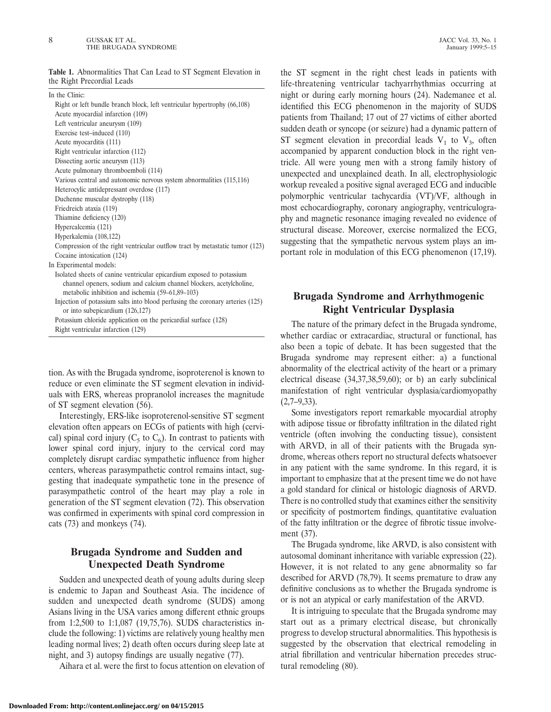**Table 1.** Abnormalities That Can Lead to ST Segment Elevation in the Right Precordial Leads

| In the Clinic:                                                                |
|-------------------------------------------------------------------------------|
| Right or left bundle branch block, left ventricular hypertrophy (66,108)      |
| Acute myocardial infarction (109)                                             |
| Left ventricular aneurysm (109)                                               |
| Exercise test-induced (110)                                                   |
| Acute myocarditis (111)                                                       |
| Right ventricular infarction (112)                                            |
| Dissecting aortic aneurysm (113)                                              |
| Acute pulmonary thromboemboli (114)                                           |
| Various central and autonomic nervous system abnormalities (115,116)          |
| Heterocylic antidepressant overdose (117)                                     |
| Duchenne muscular dystrophy (118)                                             |
| Friedreich ataxia (119)                                                       |
| Thiamine deficiency (120)                                                     |
| Hypercalcemia (121)                                                           |
| Hyperkalemia (108,122)                                                        |
| Compression of the right ventricular outflow tract by metastatic tumor (123)  |
| Cocaine intoxication (124)                                                    |
| In Experimental models:                                                       |
| Isolated sheets of canine ventricular epicardium exposed to potassium         |
| channel openers, sodium and calcium channel blockers, acetylcholine,          |
| metabolic inhibition and ischemia (59–61,89–103)                              |
| Injection of potassium salts into blood perfusing the coronary arteries (125) |
| or into subepicardium $(126,127)$                                             |
| Potassium chloride application on the pericardial surface (128)               |
| Right ventricular infarction (129)                                            |
|                                                                               |

tion. As with the Brugada syndrome, isoproterenol is known to reduce or even eliminate the ST segment elevation in individuals with ERS, whereas propranolol increases the magnitude of ST segment elevation (56).

Interestingly, ERS-like isoproterenol-sensitive ST segment elevation often appears on ECGs of patients with high (cervical) spinal cord injury ( $C_5$  to  $C_6$ ). In contrast to patients with lower spinal cord injury, injury to the cervical cord may completely disrupt cardiac sympathetic influence from higher centers, whereas parasympathetic control remains intact, suggesting that inadequate sympathetic tone in the presence of parasympathetic control of the heart may play a role in generation of the ST segment elevation (72). This observation was confirmed in experiments with spinal cord compression in cats (73) and monkeys (74).

# **Brugada Syndrome and Sudden and Unexpected Death Syndrome**

Sudden and unexpected death of young adults during sleep is endemic to Japan and Southeast Asia. The incidence of sudden and unexpected death syndrome (SUDS) among Asians living in the USA varies among different ethnic groups from 1:2,500 to 1:1,087 (19,75,76). SUDS characteristics include the following: 1) victims are relatively young healthy men leading normal lives; 2) death often occurs during sleep late at night, and 3) autopsy findings are usually negative (77).

Aihara et al. were the first to focus attention on elevation of

the ST segment in the right chest leads in patients with life-threatening ventricular tachyarrhythmias occurring at night or during early morning hours (24). Nademanee et al. identified this ECG phenomenon in the majority of SUDS patients from Thailand; 17 out of 27 victims of either aborted sudden death or syncope (or seizure) had a dynamic pattern of ST segment elevation in precordial leads  $V_1$  to  $V_3$ , often accompanied by apparent conduction block in the right ventricle. All were young men with a strong family history of unexpected and unexplained death. In all, electrophysiologic workup revealed a positive signal averaged ECG and inducible polymorphic ventricular tachycardia (VT)/VF, although in most echocardiography, coronary angiography, ventriculography and magnetic resonance imaging revealed no evidence of structural disease. Moreover, exercise normalized the ECG, suggesting that the sympathetic nervous system plays an important role in modulation of this ECG phenomenon (17,19).

# **Brugada Syndrome and Arrhythmogenic Right Ventricular Dysplasia**

The nature of the primary defect in the Brugada syndrome, whether cardiac or extracardiac, structural or functional, has also been a topic of debate. It has been suggested that the Brugada syndrome may represent either: a) a functional abnormality of the electrical activity of the heart or a primary electrical disease (34,37,38,59,60); or b) an early subclinical manifestation of right ventricular dysplasia/cardiomyopathy  $(2,7-9,33)$ .

Some investigators report remarkable myocardial atrophy with adipose tissue or fibrofatty infiltration in the dilated right ventricle (often involving the conducting tissue), consistent with ARVD, in all of their patients with the Brugada syndrome, whereas others report no structural defects whatsoever in any patient with the same syndrome. In this regard, it is important to emphasize that at the present time we do not have a gold standard for clinical or histologic diagnosis of ARVD. There is no controlled study that examines either the sensitivity or specificity of postmortem findings, quantitative evaluation of the fatty infiltration or the degree of fibrotic tissue involvement (37).

The Brugada syndrome, like ARVD, is also consistent with autosomal dominant inheritance with variable expression (22). However, it is not related to any gene abnormality so far described for ARVD (78,79). It seems premature to draw any definitive conclusions as to whether the Brugada syndrome is or is not an atypical or early manifestation of the ARVD.

It is intriguing to speculate that the Brugada syndrome may start out as a primary electrical disease, but chronically progress to develop structural abnormalities. This hypothesis is suggested by the observation that electrical remodeling in atrial fibrillation and ventricular hibernation precedes structural remodeling (80).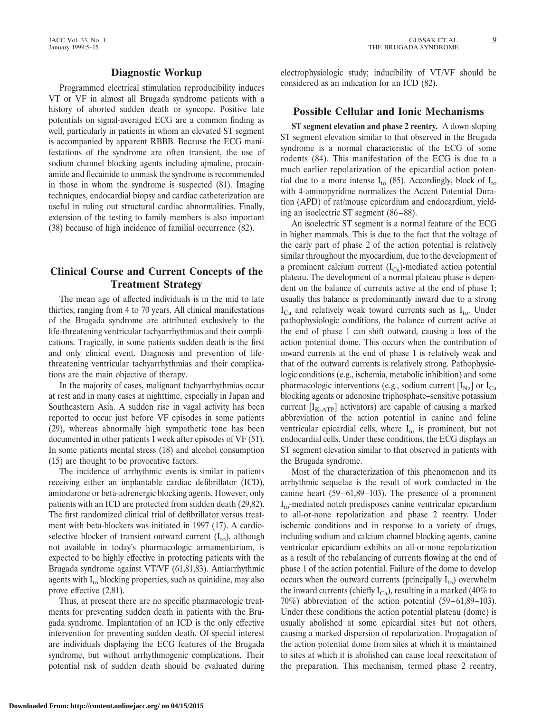#### **Diagnostic Workup**

Programmed electrical stimulation reproducibility induces VT or VF in almost all Brugada syndrome patients with a history of aborted sudden death or syncope. Positive late potentials on signal-averaged ECG are a common finding as well, particularly in patients in whom an elevated ST segment is accompanied by apparent RBBB. Because the ECG manifestations of the syndrome are often transient, the use of sodium channel blocking agents including ajmaline, procainamide and flecainide to unmask the syndrome is recommended in those in whom the syndrome is suspected (81). Imaging techniques, endocardial biopsy and cardiac catheterization are useful in ruling out structural cardiac abnormalities. Finally, extension of the testing to family members is also important (38) because of high incidence of familial occurrence (82).

# **Clinical Course and Current Concepts of the Treatment Strategy**

The mean age of affected individuals is in the mid to late thirties, ranging from 4 to 70 years. All clinical manifestations of the Brugada syndrome are attributed exclusively to the life-threatening ventricular tachyarrhythmias and their complications. Tragically, in some patients sudden death is the first and only clinical event. Diagnosis and prevention of lifethreatening ventricular tachyarrhythmias and their complications are the main objective of therapy.

In the majority of cases, malignant tachyarrhythmias occur at rest and in many cases at nighttime, especially in Japan and Southeastern Asia. A sudden rise in vagal activity has been reported to occur just before VF episodes in some patients (29), whereas abnormally high sympathetic tone has been documented in other patients 1 week after episodes of VF (51). In some patients mental stress (18) and alcohol consumption (15) are thought to be provocative factors.

The incidence of arrhythmic events is similar in patients receiving either an implantable cardiac defibrillator (ICD), amiodarone or beta-adrenergic blocking agents. However, only patients with an ICD are protected from sudden death (29,82). The first randomized clinical trial of defibrillator versus treatment with beta-blockers was initiated in 1997 (17). A cardioselective blocker of transient outward current  $(I_{\text{to}})$ , although not available in today's pharmacologic armamentarium, is expected to be highly effective in protecting patients with the Brugada syndrome against VT/VF (61,81,83). Antiarrhythmic agents with  $I_{\text{to}}$  blocking properties, such as quinidine, may also prove effective (2,81).

Thus, at present there are no specific pharmacologic treatments for preventing sudden death in patients with the Brugada syndrome. Implantation of an ICD is the only effective intervention for preventing sudden death. Of special interest are individuals displaying the ECG features of the Brugada syndrome, but without arrhythmogenic complications. Their potential risk of sudden death should be evaluated during electrophysiologic study; inducibility of VT/VF should be considered as an indication for an ICD (82).

## **Possible Cellular and Ionic Mechanisms**

**ST segment elevation and phase 2 reentry.** A down-sloping ST segment elevation similar to that observed in the Brugada syndrome is a normal characteristic of the ECG of some rodents (84). This manifestation of the ECG is due to a much earlier repolarization of the epicardial action potential due to a more intense  $I_{\text{to}}$  (85). Accordingly, block of  $I_{\text{to}}$ with 4-aminopyridine normalizes the Accent Potential Duration (APD) of rat/mouse epicardium and endocardium, yielding an isoelectric ST segment (86–88).

An isoelectric ST segment is a normal feature of the ECG in higher mammals. This is due to the fact that the voltage of the early part of phase 2 of the action potential is relatively similar throughout the myocardium, due to the development of a prominent calcium current  $(I_{Ca})$ -mediated action potential plateau. The development of a normal plateau phase is dependent on the balance of currents active at the end of phase 1; usually this balance is predominantly inward due to a strong  $I_{Ca}$  and relatively weak toward currents such as  $I_{to}$ . Under pathophysiologic conditions, the balance of current active at the end of phase 1 can shift outward, causing a loss of the action potential dome. This occurs when the contribution of inward currents at the end of phase 1 is relatively weak and that of the outward currents is relatively strong. Pathophysiologic conditions (e.g., ischemia, metabolic inhibition) and some pharmacologic interventions (e.g., sodium current  $[I_{\text{Na}}]$  or  $I_{\text{Ca}}$ blocking agents or adenosine triphosphate–sensitive potassium current  $[I_{K-ATP}]$  activators) are capable of causing a marked abbreviation of the action potential in canine and feline ventricular epicardial cells, where  $I_{\text{to}}$  is prominent, but not endocardial cells. Under these conditions, the ECG displays an ST segment elevation similar to that observed in patients with the Brugada syndrome.

Most of the characterization of this phenomenon and its arrhythmic sequelae is the result of work conducted in the canine heart (59–61,89–103). The presence of a prominent  $I_{\text{to}}$ -mediated notch predisposes canine ventricular epicardium to all-or-none repolarization and phase 2 reentry. Under ischemic conditions and in response to a variety of drugs, including sodium and calcium channel blocking agents, canine ventricular epicardium exhibits an all-or-none repolarization as a result of the rebalancing of currents flowing at the end of phase 1 of the action potential. Failure of the dome to develop occurs when the outward currents (principally  $I_{\text{to}}$ ) overwhelm the inward currents (chiefly  $I_{Ca}$ ), resulting in a marked (40% to 70%) abbreviation of the action potential (59–61,89–103). Under these conditions the action potential plateau (dome) is usually abolished at some epicardial sites but not others, causing a marked dispersion of repolarization. Propagation of the action potential dome from sites at which it is maintained to sites at which it is abolished can cause local reexcitation of the preparation. This mechanism, termed phase 2 reentry,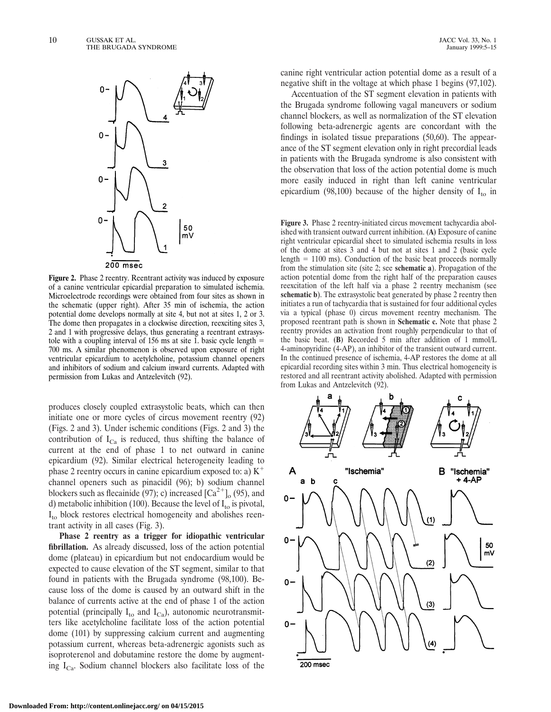

**Figure 2.** Phase 2 reentry. Reentrant activity was induced by exposure of a canine ventricular epicardial preparation to simulated ischemia. Microelectrode recordings were obtained from four sites as shown in the schematic (upper right). After 35 min of ischemia, the action potential dome develops normally at site 4, but not at sites 1, 2 or 3. The dome then propagates in a clockwise direction, reexciting sites 3, 2 and 1 with progressive delays, thus generating a reentrant extrasystole with a coupling interval of 156 ms at site 1. basic cycle length  $=$ 700 ms. A similar phenomenon is observed upon exposure of right ventricular epicardium to acetylcholine, potassium channel openers and inhibitors of sodium and calcium inward currents. Adapted with permission from Lukas and Antzelevitch (92).

produces closely coupled extrasystolic beats, which can then initiate one or more cycles of circus movement reentry (92) (Figs. 2 and 3). Under ischemic conditions (Figs. 2 and 3) the contribution of  $I_{Ca}$  is reduced, thus shifting the balance of current at the end of phase 1 to net outward in canine epicardium (92). Similar electrical heterogeneity leading to phase 2 reentry occurs in canine epicardium exposed to: a)  $K^+$ channel openers such as pinacidil (96); b) sodium channel blockers such as flecainide (97); c) increased  $\left[Ca^{2+}\right]_0$  (95), and d) metabolic inhibition (100). Because the level of  $I_{\text{to}}$  is pivotal,  $I_{\text{to}}$  block restores electrical homogeneity and abolishes reentrant activity in all cases (Fig. 3).

**Phase 2 reentry as a trigger for idiopathic ventricular fibrillation.** As already discussed, loss of the action potential dome (plateau) in epicardium but not endocardium would be expected to cause elevation of the ST segment, similar to that found in patients with the Brugada syndrome (98,100). Because loss of the dome is caused by an outward shift in the balance of currents active at the end of phase 1 of the action potential (principally  $I_{\text{to}}$  and  $I_{\text{Ca}}$ ), autonomic neurotransmitters like acetylcholine facilitate loss of the action potential dome (101) by suppressing calcium current and augmenting potassium current, whereas beta-adrenergic agonists such as isoproterenol and dobutamine restore the dome by augmenting  $I_{Ca}$ . Sodium channel blockers also facilitate loss of the

canine right ventricular action potential dome as a result of a negative shift in the voltage at which phase 1 begins (97,102).

Accentuation of the ST segment elevation in patients with the Brugada syndrome following vagal maneuvers or sodium channel blockers, as well as normalization of the ST elevation following beta-adrenergic agents are concordant with the findings in isolated tissue preparations (50,60). The appearance of the ST segment elevation only in right precordial leads in patients with the Brugada syndrome is also consistent with the observation that loss of the action potential dome is much more easily induced in right than left canine ventricular epicardium (98,100) because of the higher density of  $I_{\text{to}}$  in

**Figure 3.** Phase 2 reentry-initiated circus movement tachycardia abolished with transient outward current inhibition. **(A)** Exposure of canine right ventricular epicardial sheet to simulated ischemia results in loss of the dome at sites 3 and 4 but not at sites 1 and 2 (basic cycle length  $= 1100$  ms). Conduction of the basic beat proceeds normally from the stimulation site (site 2; see **schematic a**). Propagation of the action potential dome from the right half of the preparation causes reexcitation of the left half via a phase 2 reentry mechanism (see **schematic b**). The extrasystolic beat generated by phase 2 reentry then initiates a run of tachycardia that is sustained for four additional cycles via a typical (phase 0) circus movement reentry mechanism. The proposed reentrant path is shown in **Schematic c.** Note that phase 2 reentry provides an activation front roughly perpendicular to that of the basic beat. **(B)** Recorded 5 min after addition of 1 mmol/L 4-aminopyridine (4-AP), an inhibitor of the transient outward current. In the continued presence of ischemia, 4-AP restores the dome at all epicardial recording sites within 3 min. Thus electrical homogeneity is restored and all reentrant activity abolished. Adapted with permission from Lukas and Antzelevitch (92).

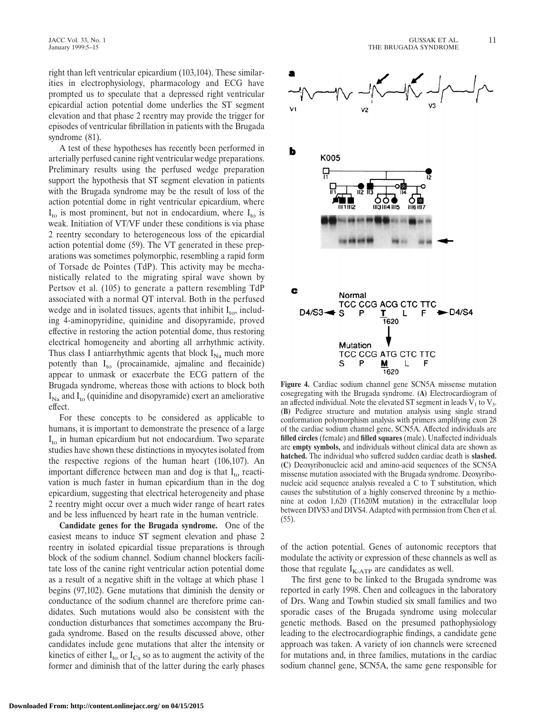right than left ventricular epicardium (103,104). These similarities in electrophysiology, pharmacology and ECG have prompted us to speculate that a depressed right ventricular epicardial action potential dome underlies the ST segment elevation and that phase 2 reentry may provide the trigger for episodes of ventricular fibrillation in patients with the Brugada syndrome (81).

A test of these hypotheses has recently been performed in arterially perfused canine right ventricular wedge preparations. Preliminary results using the perfused wedge preparation support the hypothesis that ST segment elevation in patients with the Brugada syndrome may be the result of loss of the action potential dome in right ventricular epicardium, where  $I_{\text{to}}$  is most prominent, but not in endocardium, where  $I_{\text{to}}$  is weak. Initiation of VT/VF under these conditions is via phase 2 reentry secondary to heterogeneous loss of the epicardial action potential dome (59). The VT generated in these preparations was sometimes polymorphic, resembling a rapid form of Torsade de Pointes (TdP). This activity may be mechanistically related to the migrating spiral wave shown by Pertsov et al. (105) to generate a pattern resembling TdP associated with a normal QT interval. Both in the perfused wedge and in isolated tissues, agents that inhibit  $I_{to}$ , including 4-aminopyridine, quinidine and disopyramide, proved effective in restoring the action potential dome, thus restoring electrical homogeneity and aborting all arrhythmic activity. Thus class I antiarrhythmic agents that block  $I_{\text{Na}}$  much more potently than  $I_{\text{to}}$  (procainamide, ajmaline and flecainide) appear to unmask or exacerbate the ECG pattern of the Brugada syndrome, whereas those with actions to block both  $I_{\text{Na}}$  and  $I_{\text{to}}$  (quinidine and disopyramide) exert an ameliorative effect.

For these concepts to be considered as applicable to humans, it is important to demonstrate the presence of a large  $I_{\text{to}}$  in human epicardium but not endocardium. Two separate studies have shown these distinctions in myocytes isolated from the respective regions of the human heart (106,107). An important difference between man and dog is that  $I_{\text{to}}$  reactivation is much faster in human epicardium than in the dog epicardium, suggesting that electrical heterogeneity and phase 2 reentry might occur over a much wider range of heart rates and be less influenced by heart rate in the human ventricle.

**Candidate genes for the Brugada syndrome.** One of the easiest means to induce ST segment elevation and phase 2 reentry in isolated epicardial tissue preparations is through block of the sodium channel. Sodium channel blockers facilitate loss of the canine right ventricular action potential dome as a result of a negative shift in the voltage at which phase 1 begins (97,102). Gene mutations that diminish the density or conductance of the sodium channel are therefore prime candidates. Such mutations would also be consistent with the conduction disturbances that sometimes accompany the Brugada syndrome. Based on the results discussed above, other candidates include gene mutations that alter the intensity or kinetics of either  $I_{\text{to}}$  or  $I_{\text{Ca}}$  so as to augment the activity of the former and diminish that of the latter during the early phases



**Figure 4.** Cardiac sodium channel gene SCN5A missense mutation cosegregating with the Brugada syndrome. **(A)** Electrocardiogram of an affected individual. Note the elevated ST segment in leads  $V_1$  to  $V_3$ . **(B)** Pedigree structure and mutation analysis using single strand conformation polymorphism analysis with primers amplifying exon 28 of the cardiac sodium channel gene, SCN5A. Affected individuals are **filled circles** (female) and **filled squares** (male). Unaffected individuals are **empty symbols,** and individuals without clinical data are shown as **hatched.** The individual who suffered sudden cardiac death is **slashed. (C)** Deoxyribonucleic acid and amino-acid sequences of the SCN5A missense mutation associated with the Brugada syndrome. Deoxyribonucleic acid sequence analysis revealed a C to T substitution, which causes the substitution of a highly conserved threonine by a methionine at codon 1,620 (T1620M mutation) in the extracellular loop between DIVS3 and DIVS4. Adapted with permission from Chen et al. (55).

of the action potential. Genes of autonomic receptors that modulate the activity or expression of these channels as well as those that regulate  $I_{K-ATP}$  are candidates as well.

The first gene to be linked to the Brugada syndrome was reported in early 1998. Chen and colleagues in the laboratory of Drs. Wang and Towbin studied six small families and two sporadic cases of the Brugada syndrome using molecular genetic methods. Based on the presumed pathophysiology leading to the electrocardiographic findings, a candidate gene approach was taken. A variety of ion channels were screened for mutations and, in three families, mutations in the cardiac sodium channel gene, SCN5A, the same gene responsible for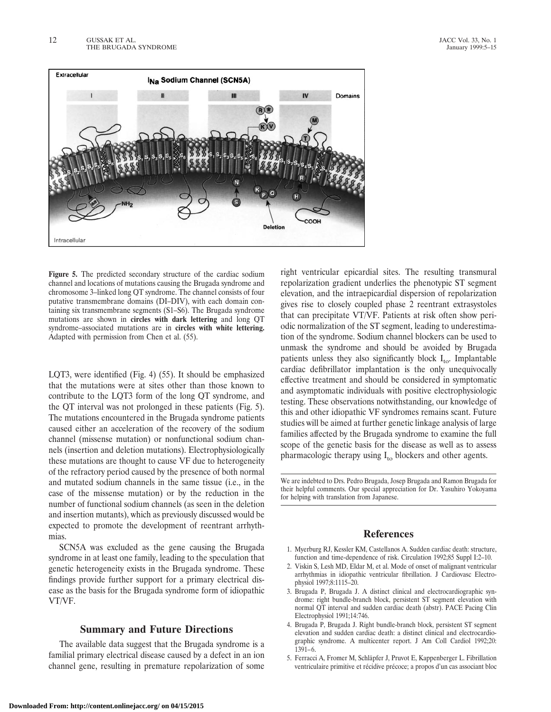

**Figure 5.** The predicted secondary structure of the cardiac sodium channel and locations of mutations causing the Brugada syndrome and chromosome 3–linked long QT syndrome. The channel consists of four putative transmembrane domains (DI–DIV), with each domain containing six transmembrane segments (S1–S6). The Brugada syndrome mutations are shown in **circles with dark lettering** and long QT syndrome–associated mutations are in **circles with white lettering.** Adapted with permission from Chen et al. (55).

LQT3, were identified (Fig. 4) (55). It should be emphasized that the mutations were at sites other than those known to contribute to the LQT3 form of the long QT syndrome, and the QT interval was not prolonged in these patients (Fig. 5). The mutations encountered in the Brugada syndrome patients caused either an acceleration of the recovery of the sodium channel (missense mutation) or nonfunctional sodium channels (insertion and deletion mutations). Electrophysiologically these mutations are thought to cause VF due to heterogeneity of the refractory period caused by the presence of both normal and mutated sodium channels in the same tissue (i.e., in the case of the missense mutation) or by the reduction in the number of functional sodium channels (as seen in the deletion and insertion mutants), which as previously discussed would be expected to promote the development of reentrant arrhythmias.

SCN5A was excluded as the gene causing the Brugada syndrome in at least one family, leading to the speculation that genetic heterogeneity exists in the Brugada syndrome. These findings provide further support for a primary electrical disease as the basis for the Brugada syndrome form of idiopathic VT/VF.

## **Summary and Future Directions**

The available data suggest that the Brugada syndrome is a familial primary electrical disease caused by a defect in an ion channel gene, resulting in premature repolarization of some right ventricular epicardial sites. The resulting transmural repolarization gradient underlies the phenotypic ST segment elevation, and the intraepicardial dispersion of repolarization gives rise to closely coupled phase 2 reentrant extrasystoles that can precipitate VT/VF. Patients at risk often show periodic normalization of the ST segment, leading to underestimation of the syndrome. Sodium channel blockers can be used to unmask the syndrome and should be avoided by Brugada patients unless they also significantly block  $I_{\text{to}}$ . Implantable cardiac defibrillator implantation is the only unequivocally effective treatment and should be considered in symptomatic and asymptomatic individuals with positive electrophysiologic testing. These observations notwithstanding, our knowledge of this and other idiopathic VF syndromes remains scant. Future studies will be aimed at further genetic linkage analysis of large families affected by the Brugada syndrome to examine the full scope of the genetic basis for the disease as well as to assess pharmacologic therapy using  $I_{\text{to}}$  blockers and other agents.

We are indebted to Drs. Pedro Brugada, Josep Brugada and Ramon Brugada for their helpful comments. Our special appreciation for Dr. Yasuhiro Yokoyama for helping with translation from Japanese.

## **References**

- 1. Myerburg RJ, Kessler KM, Castellanos A. Sudden cardiac death: structure, function and time-dependence of risk. Circulation 1992;85 Suppl I:2–10.
- 2. Viskin S, Lesh MD, Eldar M, et al. Mode of onset of malignant ventricular arrhythmias in idiopathic ventricular fibrillation. J Cardiovasc Electrophysiol 1997;8:1115–20.
- 3. Brugada P, Brugada J. A distinct clinical and electrocardiographic syndrome: right bundle-branch block, persistent ST segment elevation with normal QT interval and sudden cardiac death (abstr). PACE Pacing Clin Electrophysiol 1991;14:746.
- 4. Brugada P, Brugada J. Right bundle-branch block, persistent ST segment elevation and sudden cardiac death: a distinct clinical and electrocardiographic syndrome. A multicenter report. J Am Coll Cardiol 1992;20: 1391–6.
- 5. Ferracci A, Fromer M, Schläpfer J, Pruvot E, Kappenberger L. Fibrillation ventriculaire primitive et récidive précoce; a propos d'un cas associant bloc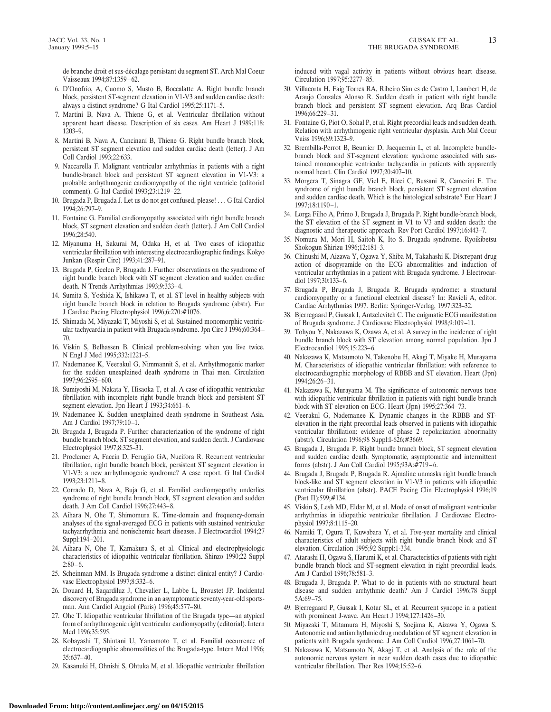de branche droit et sus-de´calage persistant du segment ST. Arch Mal Coeur Vaisseaux 1994;87:1359–62.

- 6. D'Onofrio, A, Cuomo S, Musto B, Boccalatte A. Right bundle branch block, persistent ST-segment elevation in V1-V3 and sudden cardiac death: always a distinct syndrome? G Ital Cardiol 1995;25:1171–5.
- 7. Martini B, Nava A, Thiene G, et al. Ventricular fibrillation without apparent heart disease. Description of six cases. Am Heart J 1989;118: 1203–9.
- 8. Martini B, Nava A, Cancinani B, Thiene G. Right bundle branch block, persistent ST segment elevation and sudden cardiac death (letter). J Am Coll Cardiol 1993;22:633.
- 9. Naccarella F. Malignant ventricular arrhythmias in patients with a right bundle-branch block and persistent ST segment elevation in V1-V3: a probable arrhythmogenic cardiomyopathy of the right ventricle (editorial comment). G Ital Cardiol 1993;23:1219–22.
- 10. Brugada P, Brugada J. Let us do not get confused, please! . . . G Ital Cardiol 1994;26:797–9.
- 11. Fontaine G. Familial cardiomyopathy associated with right bundle branch block, ST segment elevation and sudden death (letter). J Am Coll Cardiol 1996;28:540.
- 12. Miyanuma H, Sakurai M, Odaka H, et al. Two cases of idiopathic ventricular fibrillation with interesting electrocardiographic findings. Kokyo Junkan (Respir Circ) 1993;41:287–91.
- 13. Brugada P, Geelen P, Brugada J. Further observations on the syndrome of right bundle branch block with ST segment elevation and sudden cardiac death. N Trends Arrhythmias 1993;9:333–4.
- 14. Sumita S, Yoshida K, Ishikawa T, et al. ST level in healthy subjects with right bundle branch block in relation to Brugada syndrome (abstr). Eur J Cardiac Pacing Electrophysiol 1996;6:270:#1076.
- 15. Shimada M, Miyazaki T, Miyoshi S, et al. Sustained monomorphic ventricular tachycardia in patient with Brugada syndrome. Jpn Circ J 1996;60:364– 70.
- 16. Viskin S, Belhassen B. Clinical problem-solving: when you live twice. N Engl J Med 1995;332:1221–5.
- 17. Nademanee K, Veerakul G, Nimmannit S, et al. Arrhythmogenic marker for the sudden unexplained death syndrome in Thai men. Circulation 1997;96:2595–600.
- 18. Sumiyoshi M, Nakata Y, Hisaoka T, et al. A case of idiopathic ventricular fibrillation with incomplete right bundle branch block and persistent ST segment elevation. Jpn Heart J 1993;34:661–6.
- 19. Nademanee K. Sudden unexplained death syndrome in Southeast Asia. Am J Cardiol 1997;79:10–1.
- 20. Brugada J, Brugada P. Further characterization of the syndrome of right bundle branch block, ST segment elevation, and sudden death. J Cardiovasc Electrophysiol 1997;8:325–31.
- 21. Proclemer A, Faccin D, Feruglio GA, Nucifora R. Recurrent ventricular fibrillation, right bundle branch block, persistent ST segment elevation in V1-V3: a new arrhythmogenic syndrome? A case report. G Ital Cardiol 1993;23:1211–8.
- 22. Corrado D, Nava A, Buja G, et al. Familial cardiomyopathy underlies syndrome of right bundle branch block, ST segment elevation and sudden death. J Am Coll Cardiol 1996;27:443–8.
- 23. Aihara N, Ohe T, Shimomura K. Time-domain and frequency-domain analyses of the signal-averaged ECG in patients with sustained ventricular tachyarrhythmia and nonischemic heart diseases. J Electrocardiol 1994;27 Suppl:194–201.
- 24. Aihara N, Ohe T, Kamakura S, et al. Clinical and electrophysiologic characteristics of idiopathic ventricular fibrillation. Shinzo 1990;22 Suppl 2:80–6.
- 25. Scheinman MM. Is Brugada syndrome a distinct clinical entity? J Cardiovasc Electrophysiol 1997;8:332–6.
- 26. Douard H, Saqardiluz J, Chevalier L, Labbe L, Broustet JP. Incidental discovery of Brugada syndrome in an asymptomatic seventy-year-old sportsman. Ann Cardiol Angeiol (Paris) 1996;45:577–80.
- 27. Ohe T. Idiopathic ventricular fibrillation of the Brugada type—an atypical form of arrhythmogenic right ventricular cardiomyopathy (editorial). Intern Med 1996;35:595.
- 28. Kobayashi T, Shintani U, Yamamoto T, et al. Familial occurrence of electrocardiographic abnormalities of the Brugada-type. Intern Med 1996; 35:637–40.
- 29. Kasanuki H, Ohnishi S, Ohtuka M, et al. Idiopathic ventricular fibrillation

induced with vagal activity in patients without obvious heart disease. Circulation 1997;95:2277–85.

- 30. Villacorta H, Faig Torres RA, Ribeiro Sim es de Castro I, Lambert H, de Araujo Conzales Alonso R. Sudden death in patient with right bundle branch block and persistent ST segment elevation. Arq Bras Cardiol 1996;66:229–31.
- 31. Fontaine G, Piot O, Sohal P, et al. Right precordial leads and sudden death. Relation with arrhythmogenic right ventricular dysplasia. Arch Mal Coeur Vaiss 1996;89:1323–9.
- 32. Brembilla-Perrot B, Beurrier D, Jacquemin L, et al. Incomplete bundlebranch block and ST-segment elevation: syndrome associated with sustained monomorphic ventricular tachycardia in patients with apparently normal heart. Clin Cardiol 1997;20:407–10.
- 33. Morgera T, Sinagra GF, Viel E, Ricci C, Bussani R, Camerini F. The syndrome of right bundle branch block, persistent ST segment elevation and sudden cardiac death. Which is the histological substrate? Eur Heart J 1997;18:1190–1.
- 34. Lorga Filho A, Primo J, Brugada J, Brugada P. Right bundle-branch block, the ST elevation of the ST segment in V1 to V3 and sudden death: the diagnostic and therapeutic approach. Rev Port Cardiol 1997;16:443–7.
- 35. Nomura M, Mori H, Saitoh K, Ito S. Brugada syndrome. Ryoikibetsu Shokogun Shirizu 1996;12:181–3.
- 36. Chinushi M, Aizawa Y, Ogawa Y, Shiba M, Takahashi K. Discrepant drug action of disopyramide on the ECG abnormalities and induction of ventricular arrhythmias in a patient with Brugada syndrome. J Electrocardiol 1997;30:133–6.
- 37. Brugada P, Brugada J, Brugada R. Brugada syndrome: a structural cardiomyopathy or a functional electrical disease? In: Ravieli A, editor. Cardiac Arrhythmias 1997. Berlin: Springer-Verlag, 1997:323–32.
- 38. Bjerregaard P, Gussak I, Antzelevitch C. The enigmatic ECG manifestation of Brugada syndrome. J Cardiovasc Electrophysiol 1998;9:109–11.
- 39. Tohyou Y, Nakazawa K, Ozawa A, et al. A survey in the incidence of right bundle branch block with ST elevation among normal population. Jpn J Electrocardiol 1995;15:223–6.
- 40. Nakazawa K, Matsumoto N, Takenobu H, Akagi T, Miyake H, Murayama M. Characteristics of idiopathic ventricular fibrillation: with reference to electrocardiographic morphology of RBBB and ST elevation. Heart (Jpn) 1994;26:26–31.
- 41. Nakazawa K, Murayama M. The significance of autonomic nervous tone with idiopathic ventricular fibrillation in patients with right bundle branch block with ST elevation on ECG. Heart (Jpn) 1995;27:364–73.
- 42. Veerakul G, Nademanee K. Dynamic changes in the RBBB and STelevation in the right precordial leads observed in patients with idiopathic ventricular fibrillation: evidence of phase 2 repolarization abnormality (abstr). Circulation 1996;98 Suppl:I-626;#3669.
- 43. Brugada J, Brugada P. Right bundle branch block, ST segment elevation and sudden cardiac death. Symptomatic, asymptomatic and intermittent forms (abstr). J Am Coll Cardiol 1995;93A:#719–6.
- 44. Brugada J, Brugada P, Brugada R. Ajmaline unmasks right bundle branch block-like and ST segment elevation in V1-V3 in patients with idiopathic ventricular fibrillation (abstr). PACE Pacing Clin Electrophysiol 1996;19 (Part II):599;#134.
- 45. Viskin S, Lesh MD, Eldar M, et al. Mode of onset of malignant ventricular arrhythmias in idiopathic ventricular fibrillation. J Cardiovasc Electrophysiol 1997;8:1115–20.
- 46. Namiki T, Ogura T, Kuwabara Y, et al. Five-year mortality and clinical characteristics of adult subjects with right bundle branch block and ST elevation. Circulation 1995;92 Suppl:1-334.
- 47. Atarashi H, Ogawa S, Harumi K, et al. Characteristics of patients with right bundle branch block and ST-segment elevation in right precordial leads. Am J Cardiol 1996;78:581–3.
- 48. Brugada J, Brugada P. What to do in patients with no structural heart disease and sudden arrhythmic death? Am J Cardiol 1996;78 Suppl 5A:69–75.
- 49. Bjerregaard P, Gussak I, Kotar SL, et al. Recurrent syncope in a patient with prominent J-wave. Am Heart J 1994;127:1426–30.
- 50. Miyazaki T, Mitamura H, Miyoshi S, Soejima K, Aizawa Y, Ogawa S. Autonomic and antiarrhythmic drug modulation of ST segment elevation in patients with Brugada syndrome. J Am Coll Cardiol 1996;27:1061–70.
- 51. Nakazawa K, Matsumoto N, Akagi T, et al. Analysis of the role of the autonomic nervous system in near sudden death cases due to idiopathic ventricular fibrillation. Ther Res 1994;15:52–6.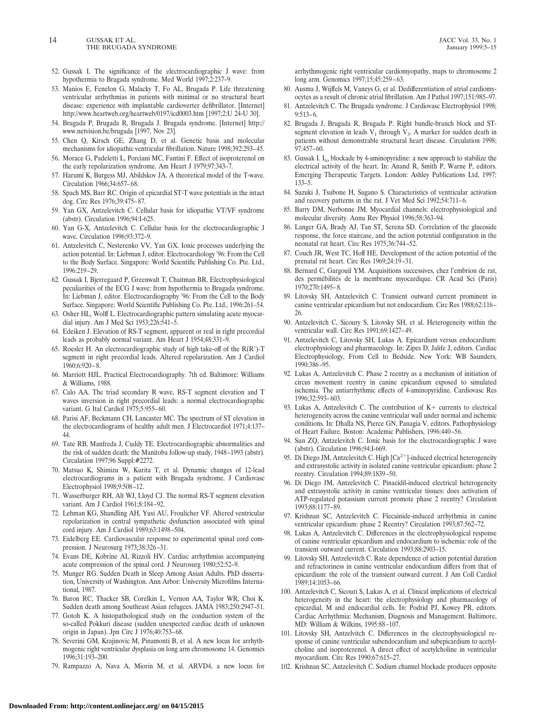- 52. Gussak I. The significance of the electrocardiographic J wave: from hypothermia to Brugada syndrome. Med World 1997;2:237–9.
- 53. Manios E, Fenelon G, Malacky T, Fo AL, Brugada P. Life threatening ventricular arrhythmias in patients with minimal or no structural heart disease: experience with implantable cardioverter defibrillator. [Internet] http://www.heartweb.org/heartweb/0197/icd0003.htm [1997;2:U 24-U 30].
- 54. Brugada P, Brugada R, Brugada J. Brugada syndrome. [Internet] http:// www.netvision.be/brugada [1997, Nov 23].
- 55. Chen Q, Kirsch GE, Zhang D, et al. Genetic basis and molecular mechanisms for idiopathic ventricular fibrillation. Nature 1998;392:293–45.
- 56. Morace G, Padeletti L, Porciani MC, Fantini F. Effect of isoproterenol on the early repolarization syndrome. Am Heart J 1979;97:343–7.
- 57. Harumi K, Burgess MJ, Abildskov JA. A theoretical model of the T-wave. Circulation 1966;34:657–68.
- 58. Spach MS, Barr RC. Origin of epicardial ST-T wave potentials in the intact dog. Circ Res 1976;39:475–87.
- 59. Yan GX, Antzelevitch C. Cellular basis for idiopathic VT/VF syndrome (abstr). Circulation 1996;94:I-625.
- 60. Yan G-X, Antzelevitch C. Cellular basis for the electrocardiographic J wave. Circulation 1996;93:372–9.
- 61. Antzelevitch C, Nesterenko VV, Yan GX. Ionic processes underlying the action potential. In: Liebman J, editor. Electrocardiology '96: From the Cell to the Body Surface. Singapore: World Scientific Publishing Co. Pte. Ltd., 1996:219–29.
- 62. Gussak I, Bjerregaard P, Greenwalt T, Chaitman BR. Electrophysiological peculiarities of the ECG J wave: from hypothermia to Brugada syndrome. In: Liebman J, editor. Electrocardiography '96: From the Cell to the Body Surface. Singapore: World Scientific Publishing Co. Pte. Ltd., 1996:261–54.
- 63. Osher HL, Wolff L. Electrocardiographic pattern simulating acute myocardial injury. Am J Med Sci 1953;226:541–5.
- 64. Edeiken J. Elevation of RS-T segment, apparent or real in right precordial leads as probably normal variant. Am Heart J 1954;48:331–9.
- 65. Roesler H. An electrocardiographic study of high take-off of the  $R(R')$ -T segment in right precordial leads. Altered repolarization. Am J Cardiol 1960;6:920–8.
- 66. Marriott HJL. Practical Electrocardiography. 7th ed. Baltimore: Williams & Williams, 1988.
- 67. Calo AA. The triad secondary R wave, RS-T segment elevation and T waves inversion in right precordial leads: a normal electrocardiographic variant. G Ital Cardiol 1975;5:955–60.
- 68. Parisi AF, Beckmann CH, Lancaster MC. The spectrum of ST elevation in the electrocardiograms of healthy adult men. J Electrocardiol 1971;4:137– 44.
- 69. Tate RB, Manfreda J, Cuddy TE. Electrocardiographic abnormalities and the risk of sudden death: the Manitoba follow-up study, 1948–1993 (abstr). Circulation 1997;96 Suppl:#2272.
- 70. Matsuo K, Shimizu W, Kurita T, et al. Dynamic changes of 12-lead electrocardiograms in a patient with Brugada syndrome. J Cardiovasc Electrophysiol 1998;9:508–12.
- 71. Wasserburger RH, Alt WJ, Lloyd CJ. The normal RS-T segment elevation variant. Am J Cardiol 1961;8:184–92.
- 72. Lehman KG, Shandling AH, Yusi AU, Froulicher VF. Altered ventricular repolarization in central sympathetic dysfunction associated with spinal cord injury. Am J Cardiol 1989;63:1498–504.
- 73. Eidelberg EE. Cardiovascular response to experimental spinal cord compression. J Neurosurg 1973;38:326–31.
- 74. Evans DE, Kobrine AI, Rizzoli HV. Cardiac arrhythmias accompanying acute compression of the spinal cord. J Neurosurg 1980;52:52–9.
- 75. Munger RG. Sudden Death in Sleep Among Asian Adults. PhD dissertation, University of Washington. Ann Arbor: University Microfilms International, 1987.
- 76. Baron RC, Thacker SB, Corelkin L, Vernon AA, Taylor WR, Choi K. Sudden death among Southeast Asian refugees. JAMA 1983;250:2947–51.
- 77. Gotoh K. A histopathological study on the conduction system of the so-called Pokkuri disease (sudden unexpected cardiac death of unknown origin in Japan). Jpn Circ J 1976;40:753–68.
- 78. Severini GM, Krajinovic M, Pinamonti B, et al. A new locus for arrhythmogenic right ventricular dysplasia on long arm chromosome 14. Genomics 1996;31:193–200.
- 79. Rampazzo A, Nava A, Miorin M, et al. ARVD4, a new locus for

arrhythmogenic right ventricular cardiomyopathy, maps to chromosome 2 long arm. Genomics 1997;15;45:259–63.

- 80. Ausma J, Wijffels M, Vaneys G, et al. Dedifferentiation of atrial cardiomyocytes as a result of chronic atrial fibrillation. Am J Pathol 1997;151:985–97.
- 81. Antzelevitch C. The Brugada syndrome. J Cardiovasc Electrophysiol 1998; 9:513–6.
- 82. Brugada J, Brugada R, Brugada P. Right bundle-branch block and STsegment elevation in leads  $V_1$  through  $V_3$ . A marker for sudden death in patients without demonstrable structural heart disease. Circulation 1998; 97:457–60.
- 83. Gussak I. I<sub>to</sub> blockade by 4-aminopyridine: a new approach to stabilize the electrical activity of the heart. In: Anand R, Smith P, Warne P, editors. Emerging Therapeutic Targets. London: Ashley Publications Ltd, 1997: 133–5.
- 84. Suzuki J, Tsubone H, Sugano S. Characteristics of ventricular activation and recovery patterns in the rat. J Vet Med Sci 1992;54:711–6.
- 85. Barry DM, Nerbonne JM. Myocardial channels: electrophysiological and molecular diversity. Annu Rev Physiol 1996;58:363–94.
- 86. Langer GA, Brady AJ, Tan ST, Serena SD. Correlation of the glucoside response, the force staircase, and the action potential configuration in the neonatal rat heart. Circ Res 1975;36:744–52.
- 87. Couch JR, West TC, Hoff HE. Development of the action potential of the prenatal rat heart. Circ Res 1969;24:19–31.
- 88. Bernard C, Gargouil YM. Acquisitions successives, chez l'embrion de rat, des permébilités de la membrane myocardique. CR Acad Sci (Paris) 1970;270:1495–8.
- 89. Litovsky SH, Antzelevitch C. Transient outward current prominent in canine ventricular epicardium but not endocardium. Circ Res 1988;62:116– 26.
- 90. Antzelevitch C, Sicoury S, Litovsky SH, et al. Heterogeneity within the ventricular wall. Circ Res 1991;69:1427–49.
- 91. Antzelevitch C, Litovsky SH, Lukas A. Epicardium versus endocardium: electrophysiology and pharmacology. In: Zipes D, Jalife J, editors. Cardiac Electrophysiology, From Cell to Bedside. New York: WB Saunders, 1990:386–95.
- 92. Lukas A, Antzelevitch C. Phase 2 reentry as a mechanism of initiation of circus movement reentry in canine epicardium exposed to simulated ischemia. The antiarrhythmic effects of 4-aminopyridine. Cardiovasc Res 1996;32:593–603.
- 93. Lukas A, Antzelevitch C. The contribution of  $K<sup>+</sup>$  currents to electrical heterogeneity across the canine ventricular wall under normal and ischemic conditions. In: Dhalla NS, Pierce GN, Panagia V, editors. Pathophysiology of Heart Failure. Boston: Academic Publishers, 1996:440–56.
- 94. Sun ZQ, Antzelevitch C. Ionic basis for the electrocardiographic J wave (abstr). Circulation 1996;94:I-669.
- 95. Di Diego JM, Antzelevitch C. High  $[Ca<sup>2+</sup>]$ -induced electrical heterogeneity and extrasystolic activity in isolated canine ventricular epicardium: phase 2 reentry. Circulation 1994;89:1839–50.
- 96. Di Diego JM, Antzelevitch C. Pinacidil-induced electrical heterogeneity and extrasystolic activity in canine ventricular tissues: does activation of ATP-regulated potassium current promote phase 2 reentry? Circulation 1993;88:1177–89.
- 97. Krishnan SC, Antzelevitch C. Flecainide-induced arrhythmia in canine ventricular epicardium: phase 2 Reentry? Circulation 1993;87:562–72.
- 98. Lukas A, Antzelevitch C. Differences in the electrophysiological response of canine ventricular epicardium and endocardium to ischemia: role of the transient outward current. Circulation 1993;88:2903–15.
- 99. Litovsky SH, Antzelevitch C. Rate dependence of action potential duration and refractoriness in canine ventricular endocardium differs from that of epicardium: the role of the transient outward current. J Am Coll Cardiol 1989;14:1053–66.
- 100. Antzelevitch C, Sicouri S, Lukas A, et al. Clinical implications of electrical heterogeneity in the heart: the electrophysiology and pharmacology of epicardial, M and endocardial cells. In: Podrid PJ, Kowey PR, editors. Cardiac Arrhythmia: Mechanism, Diagnosis and Management. Baltimore, MD: William & Wilkins, 1995:88–107.
- 101. Litovsky SH, Antzelvitch C. Differences in the electrophysiological response of canine ventricular subendocardium and subepicardium to acetylcholine and isoproterenol. A direct effect of acetylcholine in ventricular myocardium. Circ Res 1990;67:615–27.
- 102. Krishnan SC, Antzelevitch C. Sodium channel blockade produces opposite